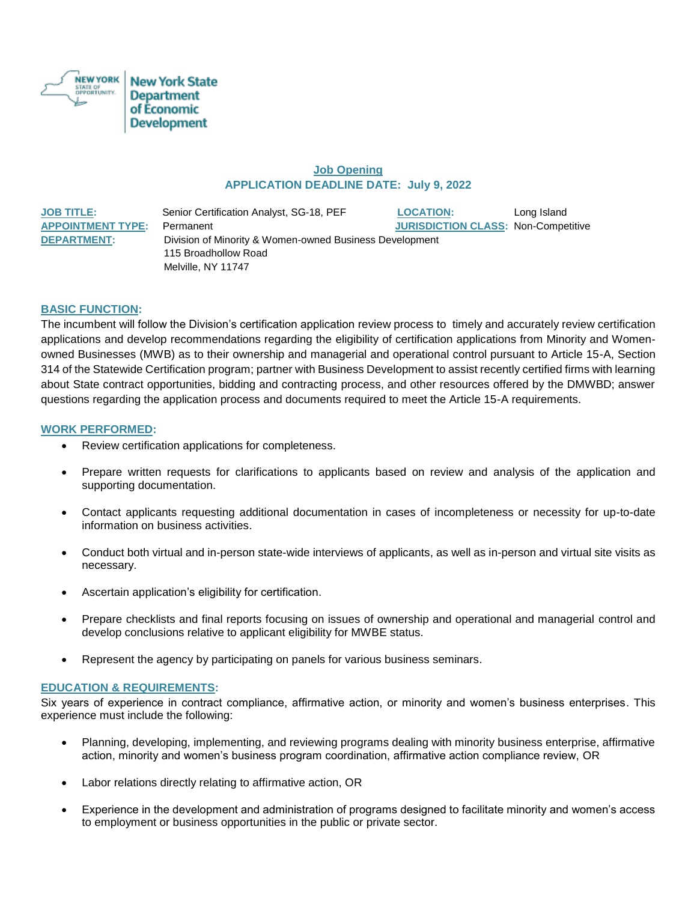

## **Job Opening APPLICATION DEADLINE DATE: July 9, 2022**

**JOB TITLE:** Senior Certification Analyst, SG-18, PEF **LOCATION:** Long Island **APPOINTMENT TYPE:** Permanent **JURISDICTION CLASS:** Non-Competitive **DEPARTMENT:** Division of Minority & Women-owned Business Development 115 Broadhollow Road Melville, NY 11747

### **BASIC FUNCTION:**

The incumbent will follow the Division's certification application review process to timely and accurately review certification applications and develop recommendations regarding the eligibility of certification applications from Minority and Womenowned Businesses (MWB) as to their ownership and managerial and operational control pursuant to Article 15-A, Section 314 of the Statewide Certification program; partner with Business Development to assist recently certified firms with learning about State contract opportunities, bidding and contracting process, and other resources offered by the DMWBD; answer questions regarding the application process and documents required to meet the Article 15-A requirements.

#### **WORK PERFORMED:**

- Review certification applications for completeness.
- Prepare written requests for clarifications to applicants based on review and analysis of the application and supporting documentation.
- Contact applicants requesting additional documentation in cases of incompleteness or necessity for up-to-date information on business activities.
- Conduct both virtual and in-person state-wide interviews of applicants, as well as in-person and virtual site visits as necessary.
- Ascertain application's eligibility for certification.
- Prepare checklists and final reports focusing on issues of ownership and operational and managerial control and develop conclusions relative to applicant eligibility for MWBE status.
- Represent the agency by participating on panels for various business seminars.

### **EDUCATION & REQUIREMENTS:**

Six years of experience in contract compliance, affirmative action, or minority and women's business enterprises. This experience must include the following:

- Planning, developing, implementing, and reviewing programs dealing with minority business enterprise, affirmative action, minority and women's business program coordination, affirmative action compliance review, OR
- Labor relations directly relating to affirmative action, OR
- Experience in the development and administration of programs designed to facilitate minority and women's access to employment or business opportunities in the public or private sector.